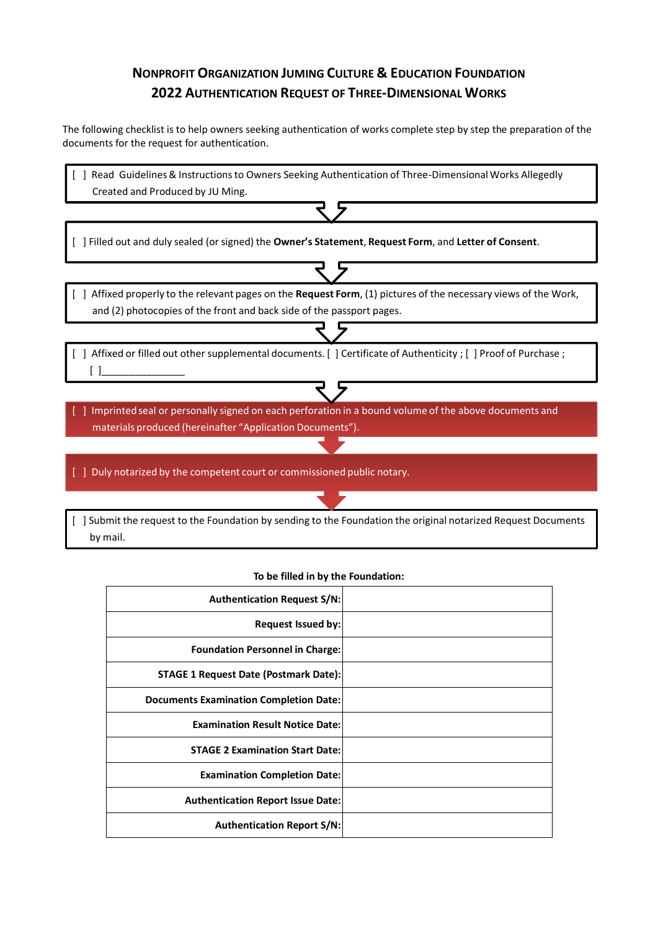## **NONPROFIT ORGANIZATION JUMING CULTURE & EDUCATION FOUNDATION 2022 AUTHENTICATION REQUEST OF THREE-DIMENSIONAL WORKS**

The following checklist is to help owners seeking authentication of works complete step by step the preparation of the documents for the request for authentication.

| ] Read Guidelines & Instructions to Owners Seeking Authentication of Three-Dimensional Works Allegedly                                                                                |
|---------------------------------------------------------------------------------------------------------------------------------------------------------------------------------------|
| Created and Produced by JU Ming.                                                                                                                                                      |
|                                                                                                                                                                                       |
| ] Filled out and duly sealed (or signed) the Owner's Statement, Request Form, and Letter of Consent.                                                                                  |
|                                                                                                                                                                                       |
| Affixed properly to the relevant pages on the Request Form, (1) pictures of the necessary views of the Work,<br>and (2) photocopies of the front and back side of the passport pages. |
|                                                                                                                                                                                       |
| Affixed or filled out other supplemental documents. [ ] Certificate of Authenticity ; [ ] Proof of Purchase ;                                                                         |
|                                                                                                                                                                                       |
| Imprinted seal or personally signed on each perforation in a bound volume of the above documents and<br>materials produced (hereinafter "Application Documents").                     |
|                                                                                                                                                                                       |
| Duly notarized by the competent court or commissioned public notary.                                                                                                                  |
|                                                                                                                                                                                       |
| Submit the request to the Foundation by sending to the Foundation the original notarized Request Documents                                                                            |

by mail.

#### **To be filled in by the Foundation:**

| <b>Authentication Request S/N:</b>            |  |
|-----------------------------------------------|--|
| Request Issued by:                            |  |
| <b>Foundation Personnel in Charge:</b>        |  |
| <b>STAGE 1 Request Date (Postmark Date):</b>  |  |
| <b>Documents Examination Completion Date:</b> |  |
| <b>Examination Result Notice Date:</b>        |  |
| <b>STAGE 2 Examination Start Date:</b>        |  |
| <b>Examination Completion Date:</b>           |  |
| <b>Authentication Report Issue Date:</b>      |  |
| <b>Authentication Report S/N:</b>             |  |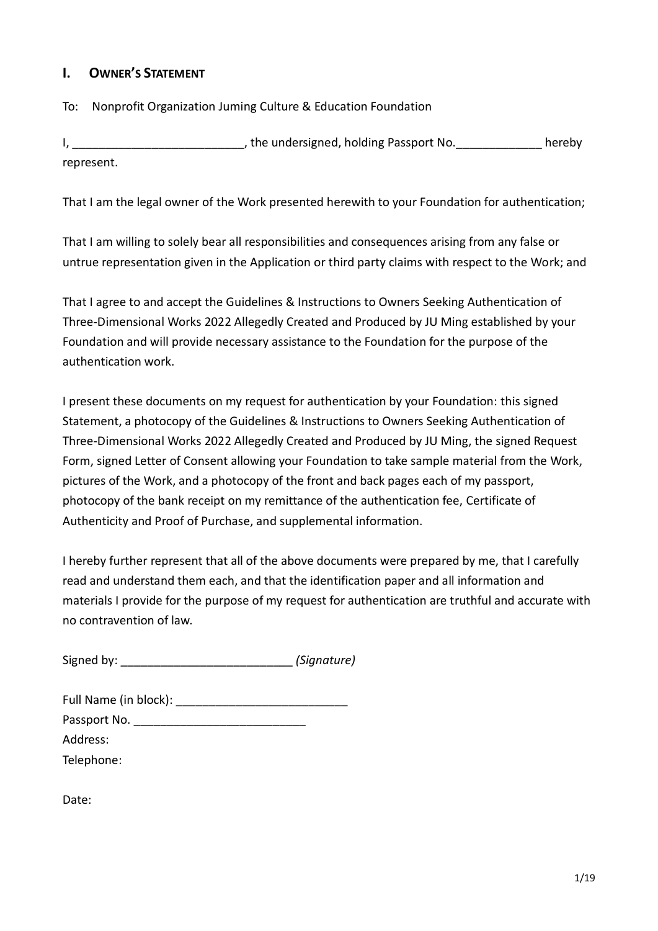### **I. OWNER'S STATEMENT**

#### To: Nonprofit Organization Juming Culture & Education Foundation

I, \_\_\_\_\_\_\_\_\_\_\_\_\_\_\_\_\_\_\_\_\_\_\_\_\_\_\_\_\_\_\_, the undersigned, holding Passport No. \_\_\_\_\_\_\_\_\_\_\_\_\_\_\_\_ hereby represent.

That I am the legal owner of the Work presented herewith to your Foundation for authentication;

That I am willing to solely bear all responsibilities and consequences arising from any false or untrue representation given in the Application or third party claims with respect to the Work; and

That I agree to and accept the Guidelines & Instructions to Owners Seeking Authentication of Three-Dimensional Works 2022 Allegedly Created and Produced by JU Ming established by your Foundation and will provide necessary assistance to the Foundation for the purpose of the authentication work.

I present these documents on my request for authentication by your Foundation: this signed Statement, a photocopy of the Guidelines & Instructions to Owners Seeking Authentication of Three-Dimensional Works 2022 Allegedly Created and Produced by JU Ming, the signed Request Form, signed Letter of Consent allowing your Foundation to take sample material from the Work, pictures of the Work, and a photocopy of the front and back pages each of my passport, photocopy of the bank receipt on my remittance of the authentication fee, Certificate of Authenticity and Proof of Purchase, and supplemental information.

I hereby further represent that all of the above documents were prepared by me, that I carefully read and understand them each, and that the identification paper and all information and materials I provide for the purpose of my request for authentication are truthful and accurate with no contravention of law.

| Signed by: | (Signature) |
|------------|-------------|
|------------|-------------|

Date: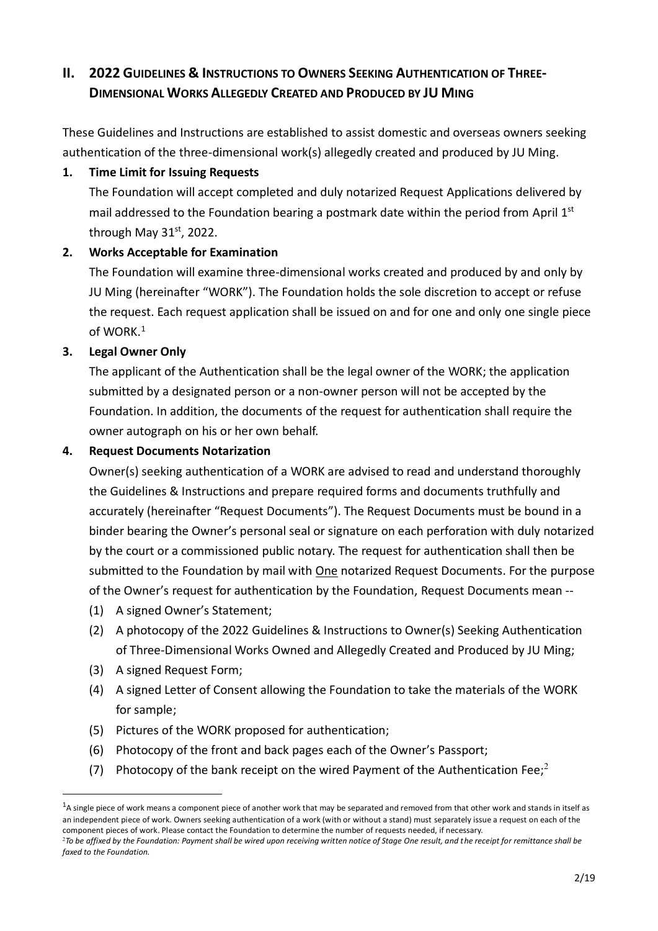# **II. 2022** GUIDELINES & INSTRUCTIONS TO OWNERS SEEKING AUTHENTICATION OF THREE-**DIMENSIONAL WORKS ALLEGEDLY CREATED AND PRODUCED BY JU MING**

These Guidelines and Instructions are established to assist domestic and overseas owners seeking authentication of the three-dimensional work(s) allegedly created and produced by JU Ming.

#### **1. Time Limit for Issuing Requests**

The Foundation will accept completed and duly notarized Request Applications delivered by mail addressed to the Foundation bearing a postmark date within the period from April 1st through May 31st, 2022.

### **2. Works Acceptable for Examination**

The Foundation will examine three-dimensional works created and produced by and only by JU Ming (hereinafter "WORK"). The Foundation holds the sole discretion to accept or refuse the request. Each request application shall be issued on and for one and only one single piece of WORK.<sup>1</sup>

### **3. Legal Owner Only**

The applicant of the Authentication shall be the legal owner of the WORK; the application submitted by a designated person or a non-owner person will not be accepted by the Foundation. In addition, the documents of the request for authentication shall require the owner autograph on his or her own behalf.

#### **4. Request Documents Notarization**

Owner(s) seeking authentication of a WORK are advised to read and understand thoroughly the Guidelines & Instructions and prepare required forms and documents truthfully and accurately (hereinafter "Request Documents"). The Request Documents must be bound in a binder bearing the Owner's personal seal or signature on each perforation with duly notarized by the court or a commissioned public notary. The request for authentication shall then be submitted to the Foundation by mail with One notarized Request Documents. For the purpose of the Owner's request for authentication by the Foundation, Request Documents mean --

- (1) A signed Owner's Statement;
- (2) A photocopy of the 2022 Guidelines & Instructions to Owner(s) Seeking Authentication of Three-Dimensional Works Owned and Allegedly Created and Produced by JU Ming;
- (3) A signed Request Form;

<u>.</u>

- (4) A signed Letter of Consent allowing the Foundation to take the materials of the WORK for sample;
- (5) Pictures of the WORK proposed for authentication;
- (6) Photocopy of the front and back pages each of the Owner's Passport;
- (7) Photocopy of the bank receipt on the wired Payment of the Authentication Fee;<sup>2</sup>

 $<sup>1</sup>A$  single piece of work means a component piece of another work that may be separated and removed from that other work and stands in itself as</sup> an independent piece of work. Owners seeking authentication of a work (with or without a stand) must separately issue a request on each of the component pieces of work. Please contact the Foundation to determine the number of requests needed, if necessary.

<sup>2</sup>*To be affixed by the Foundation: Payment shall be wired upon receiving written notice of Stage One result, and the receipt for remittance shall be faxed to the Foundation.*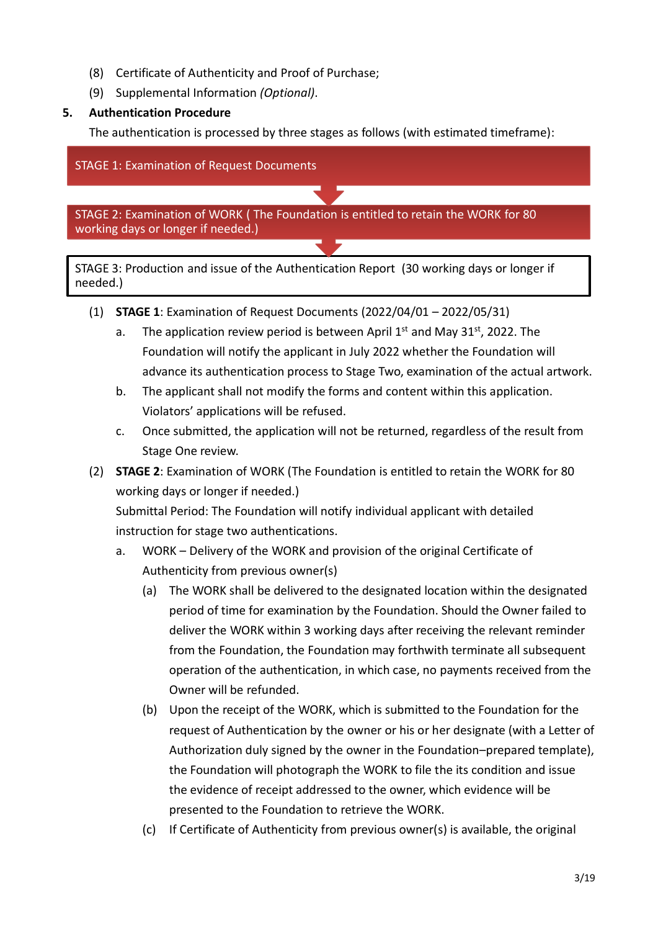- (8) Certificate of Authenticity and Proof of Purchase;
- (9) Supplemental Information *(Optional)*.

### **5. Authentication Procedure**

The authentication is processed by three stages as follows (with estimated timeframe):

STAGE 1: Examination of Request Documents

STAGE 2: Examination of WORK ( The Foundation is entitled to retain the WORK for 80 working days or longer if needed.)

STAGE 3: Production and issue of the Authentication Report (30 working days or longer if needed.)

- (1) **STAGE 1**: Examination of Request Documents (2022/04/01 2022/05/31)
	- a. The application review period is between April  $1<sup>st</sup>$  and May 31<sup>st</sup>, 2022. The Foundation will notify the applicant in July 2022 whether the Foundation will advance its authentication process to Stage Two, examination of the actual artwork.
	- b. The applicant shall not modify the forms and content within this application. Violators' applications will be refused.
	- c. Once submitted, the application will not be returned, regardless of the result from Stage One review.
- (2) **STAGE 2**: Examination of WORK (The Foundation is entitled to retain the WORK for 80 working days or longer if needed.)

Submittal Period: The Foundation will notify individual applicant with detailed instruction for stage two authentications.

- a. WORK Delivery of the WORK and provision of the original Certificate of Authenticity from previous owner(s)
	- (a) The WORK shall be delivered to the designated location within the designated period of time for examination by the Foundation. Should the Owner failed to deliver the WORK within 3 working days after receiving the relevant reminder from the Foundation, the Foundation may forthwith terminate all subsequent operation of the authentication, in which case, no payments received from the Owner will be refunded.
	- (b) Upon the receipt of the WORK, which is submitted to the Foundation for the request of Authentication by the owner or his or her designate (with a Letter of Authorization duly signed by the owner in the Foundation–prepared template), the Foundation will photograph the WORK to file the its condition and issue the evidence of receipt addressed to the owner, which evidence will be presented to the Foundation to retrieve the WORK.
	- (c) If Certificate of Authenticity from previous owner(s) is available, the original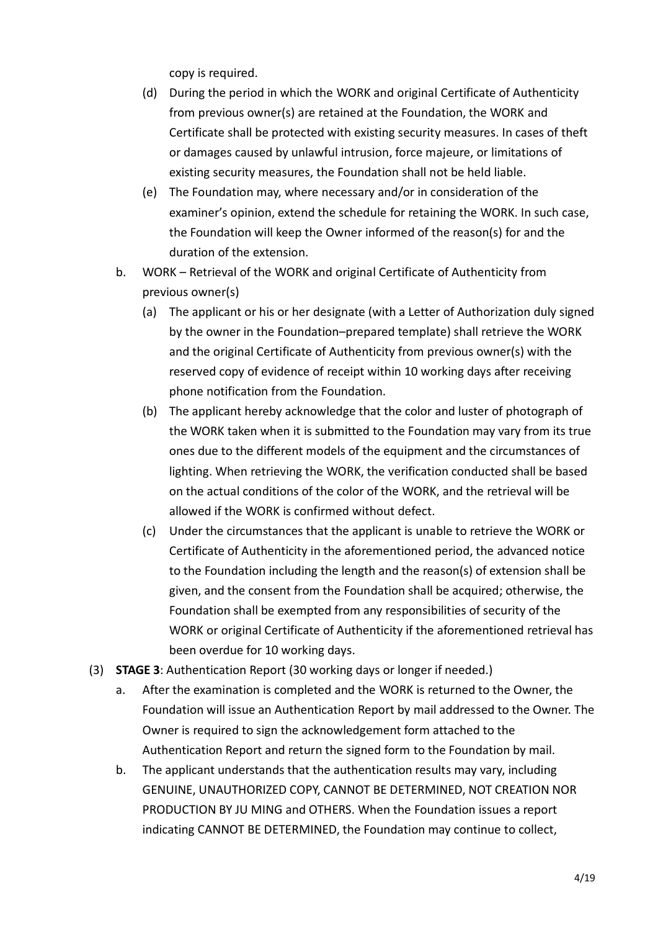copy is required.

- (d) During the period in which the WORK and original Certificate of Authenticity from previous owner(s) are retained at the Foundation, the WORK and Certificate shall be protected with existing security measures. In cases of theft or damages caused by unlawful intrusion, force majeure, or limitations of existing security measures, the Foundation shall not be held liable.
- (e) The Foundation may, where necessary and/or in consideration of the examiner's opinion, extend the schedule for retaining the WORK. In such case, the Foundation will keep the Owner informed of the reason(s) for and the duration of the extension.
- b. WORK Retrieval of the WORK and original Certificate of Authenticity from previous owner(s)
	- (a) The applicant or his or her designate (with a Letter of Authorization duly signed by the owner in the Foundation–prepared template) shall retrieve the WORK and the original Certificate of Authenticity from previous owner(s) with the reserved copy of evidence of receipt within 10 working days after receiving phone notification from the Foundation.
	- (b) The applicant hereby acknowledge that the color and luster of photograph of the WORK taken when it is submitted to the Foundation may vary from its true ones due to the different models of the equipment and the circumstances of lighting. When retrieving the WORK, the verification conducted shall be based on the actual conditions of the color of the WORK, and the retrieval will be allowed if the WORK is confirmed without defect.
	- (c) Under the circumstances that the applicant is unable to retrieve the WORK or Certificate of Authenticity in the aforementioned period, the advanced notice to the Foundation including the length and the reason(s) of extension shall be given, and the consent from the Foundation shall be acquired; otherwise, the Foundation shall be exempted from any responsibilities of security of the WORK or original Certificate of Authenticity if the aforementioned retrieval has been overdue for 10 working days.
- (3) **STAGE 3**: Authentication Report (30 working days or longer if needed.)
	- a. After the examination is completed and the WORK is returned to the Owner, the Foundation will issue an Authentication Report by mail addressed to the Owner. The Owner is required to sign the acknowledgement form attached to the Authentication Report and return the signed form to the Foundation by mail.
	- b. The applicant understands that the authentication results may vary, including GENUINE, UNAUTHORIZED COPY, CANNOT BE DETERMINED, NOT CREATION NOR PRODUCTION BY JU MING and OTHERS. When the Foundation issues a report indicating CANNOT BE DETERMINED, the Foundation may continue to collect,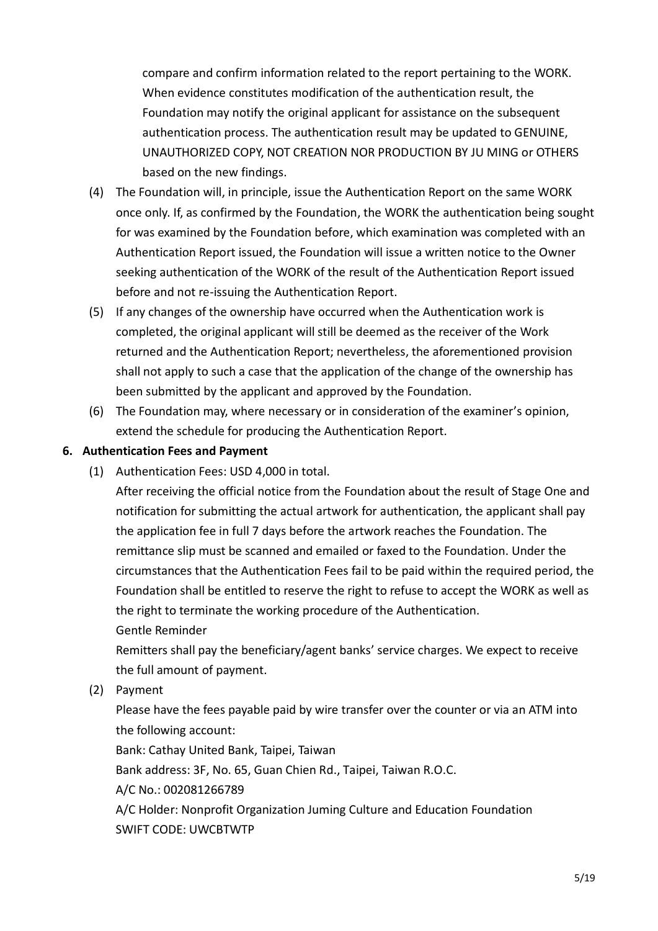compare and confirm information related to the report pertaining to the WORK. When evidence constitutes modification of the authentication result, the Foundation may notify the original applicant for assistance on the subsequent authentication process. The authentication result may be updated to GENUINE, UNAUTHORIZED COPY, NOT CREATION NOR PRODUCTION BY JU MING or OTHERS based on the new findings.

- (4) The Foundation will, in principle, issue the Authentication Report on the same WORK once only. If, as confirmed by the Foundation, the WORK the authentication being sought for was examined by the Foundation before, which examination was completed with an Authentication Report issued, the Foundation will issue a written notice to the Owner seeking authentication of the WORK of the result of the Authentication Report issued before and not re-issuing the Authentication Report.
- (5) If any changes of the ownership have occurred when the Authentication work is completed, the original applicant will still be deemed as the receiver of the Work returned and the Authentication Report; nevertheless, the aforementioned provision shall not apply to such a case that the application of the change of the ownership has been submitted by the applicant and approved by the Foundation.
- (6) The Foundation may, where necessary or in consideration of the examiner's opinion, extend the schedule for producing the Authentication Report.

#### **6. Authentication Fees and Payment**

(1) Authentication Fees: USD 4,000 in total.

After receiving the official notice from the Foundation about the result of Stage One and notification for submitting the actual artwork for authentication, the applicant shall pay the application fee in full 7 days before the artwork reaches the Foundation. The remittance slip must be scanned and emailed or faxed to the Foundation. Under the circumstances that the Authentication Fees fail to be paid within the required period, the Foundation shall be entitled to reserve the right to refuse to accept the WORK as well as the right to terminate the working procedure of the Authentication.

Gentle Reminder

Remitters shall pay the beneficiary/agent banks' service charges. We expect to receive the full amount of payment.

(2) Payment

Please have the fees payable paid by wire transfer over the counter or via an ATM into the following account: Bank: Cathay United Bank, Taipei, Taiwan

Bank address: 3F, No. 65, Guan Chien Rd., Taipei, Taiwan R.O.C.

A/C No.: 002081266789

A/C Holder: Nonprofit Organization Juming Culture and Education Foundation SWIFT CODE: UWCBTWTP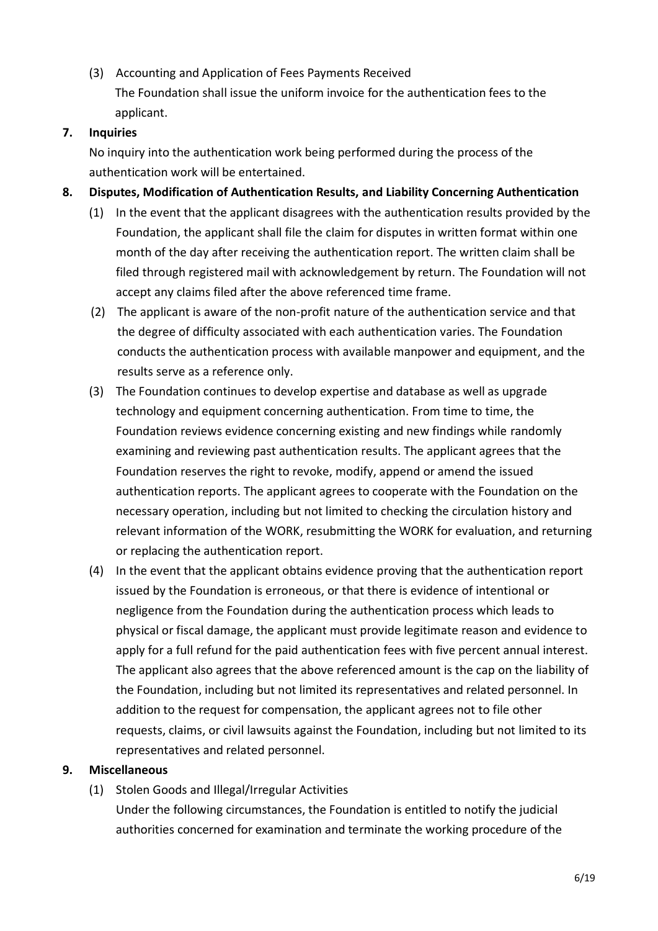(3) Accounting and Application of Fees Payments Received The Foundation shall issue the uniform invoice for the authentication fees to the applicant.

#### **7. Inquiries**

No inquiry into the authentication work being performed during the process of the authentication work will be entertained.

- **8. Disputes, Modification of Authentication Results, and Liability Concerning Authentication**
	- (1) In the event that the applicant disagrees with the authentication results provided by the Foundation, the applicant shall file the claim for disputes in written format within one month of the day after receiving the authentication report. The written claim shall be filed through registered mail with acknowledgement by return. The Foundation will not accept any claims filed after the above referenced time frame.
	- (2) The applicant is aware of the non-profit nature of the authentication service and that the degree of difficulty associated with each authentication varies. The Foundation conducts the authentication process with available manpower and equipment, and the results serve as a reference only.
	- (3) The Foundation continues to develop expertise and database as well as upgrade technology and equipment concerning authentication. From time to time, the Foundation reviews evidence concerning existing and new findings while randomly examining and reviewing past authentication results. The applicant agrees that the Foundation reserves the right to revoke, modify, append or amend the issued authentication reports. The applicant agrees to cooperate with the Foundation on the necessary operation, including but not limited to checking the circulation history and relevant information of the WORK, resubmitting the WORK for evaluation, and returning or replacing the authentication report.
	- (4) In the event that the applicant obtains evidence proving that the authentication report issued by the Foundation is erroneous, or that there is evidence of intentional or negligence from the Foundation during the authentication process which leads to physical or fiscal damage, the applicant must provide legitimate reason and evidence to apply for a full refund for the paid authentication fees with five percent annual interest. The applicant also agrees that the above referenced amount is the cap on the liability of the Foundation, including but not limited its representatives and related personnel. In addition to the request for compensation, the applicant agrees not to file other requests, claims, or civil lawsuits against the Foundation, including but not limited to its representatives and related personnel.

## **9. Miscellaneous**

(1) Stolen Goods and Illegal/Irregular Activities

Under the following circumstances, the Foundation is entitled to notify the judicial authorities concerned for examination and terminate the working procedure of the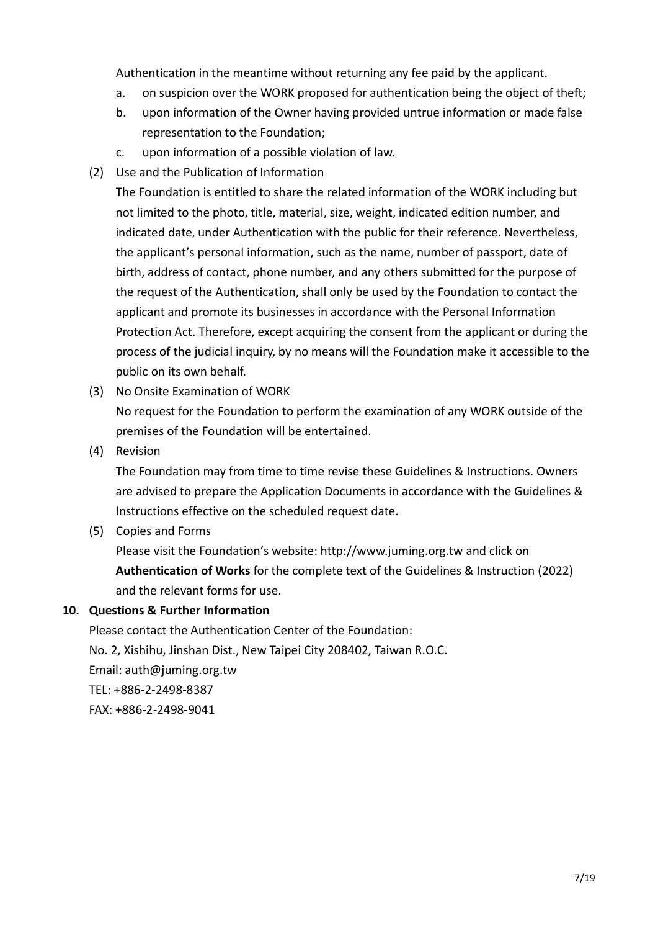Authentication in the meantime without returning any fee paid by the applicant.

- a. on suspicion over the WORK proposed for authentication being the object of theft;
- b. upon information of the Owner having provided untrue information or made false representation to the Foundation;
- c. upon information of a possible violation of law.
- (2) Use and the Publication of Information

The Foundation is entitled to share the related information of the WORK including but not limited to the photo, title, material, size, weight, indicated edition number, and indicated date, under Authentication with the public for their reference. Nevertheless, the applicant's personal information, such as the name, number of passport, date of birth, address of contact, phone number, and any others submitted for the purpose of the request of the Authentication, shall only be used by the Foundation to contact the applicant and promote its businesses in accordance with the Personal Information Protection Act. Therefore, except acquiring the consent from the applicant or during the process of the judicial inquiry, by no means will the Foundation make it accessible to the public on its own behalf.

(3) No Onsite Examination of WORK

No request for the Foundation to perform the examination of any WORK outside of the premises of the Foundation will be entertained.

(4) Revision

The Foundation may from time to time revise these Guidelines & Instructions. Owners are advised to prepare the Application Documents in accordance with the Guidelines & Instructions effective on the scheduled request date.

(5) Copies and Forms

Please visit the Foundation's website: [http://www.juming.org.tw](http://www.juming.org.tw/) and click on **Authentication of Works** for the complete text of the Guidelines & Instruction (2022) and the relevant forms for use.

#### **10. Questions & Further Information**

Please contact the Authentication Center of the Foundation: No. 2, Xishihu, Jinshan Dist., New Taipei City 208402, Taiwan R.O.C. Email: [auth@juming.org.tw](mailto:auth@juming.org.tw) TEL: +886-2-2498-8387 FAX: +886-2-2498-9041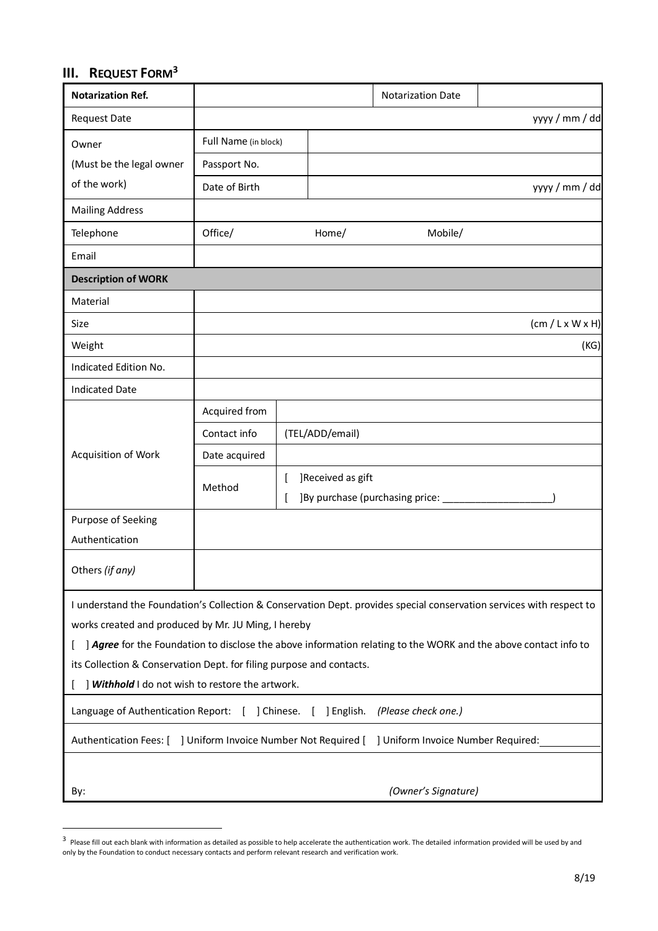# **III. REQUEST FORM<sup>3</sup>**

1

| <b>Notarization Ref.</b>                                                                                                                                                                                                                                                                                |                      |   |                   | <b>Notarization Date</b>         |                                                                                                                 |
|---------------------------------------------------------------------------------------------------------------------------------------------------------------------------------------------------------------------------------------------------------------------------------------------------------|----------------------|---|-------------------|----------------------------------|-----------------------------------------------------------------------------------------------------------------|
| <b>Request Date</b>                                                                                                                                                                                                                                                                                     |                      |   |                   |                                  | yyyy / mm / dd                                                                                                  |
| Owner                                                                                                                                                                                                                                                                                                   | Full Name (in block) |   |                   |                                  |                                                                                                                 |
| (Must be the legal owner                                                                                                                                                                                                                                                                                | Passport No.         |   |                   |                                  |                                                                                                                 |
| of the work)                                                                                                                                                                                                                                                                                            | Date of Birth        |   |                   |                                  | yyyy / mm / dd                                                                                                  |
| <b>Mailing Address</b>                                                                                                                                                                                                                                                                                  |                      |   |                   |                                  |                                                                                                                 |
| Telephone                                                                                                                                                                                                                                                                                               | Office/              |   | Home/             | Mobile/                          |                                                                                                                 |
| Email                                                                                                                                                                                                                                                                                                   |                      |   |                   |                                  |                                                                                                                 |
| <b>Description of WORK</b>                                                                                                                                                                                                                                                                              |                      |   |                   |                                  |                                                                                                                 |
| Material                                                                                                                                                                                                                                                                                                |                      |   |                   |                                  |                                                                                                                 |
| Size                                                                                                                                                                                                                                                                                                    |                      |   |                   |                                  | $(cm / L \times W \times H)$                                                                                    |
| Weight                                                                                                                                                                                                                                                                                                  |                      |   |                   |                                  | (KG)                                                                                                            |
| Indicated Edition No.                                                                                                                                                                                                                                                                                   |                      |   |                   |                                  |                                                                                                                 |
| <b>Indicated Date</b>                                                                                                                                                                                                                                                                                   |                      |   |                   |                                  |                                                                                                                 |
|                                                                                                                                                                                                                                                                                                         | Acquired from        |   |                   |                                  |                                                                                                                 |
|                                                                                                                                                                                                                                                                                                         | Contact info         |   | (TEL/ADD/email)   |                                  |                                                                                                                 |
| Acquisition of Work                                                                                                                                                                                                                                                                                     | Date acquired        |   |                   |                                  |                                                                                                                 |
|                                                                                                                                                                                                                                                                                                         | Method               | L | ]Received as gift |                                  |                                                                                                                 |
|                                                                                                                                                                                                                                                                                                         |                      |   |                   | ] By purchase (purchasing price: |                                                                                                                 |
| Purpose of Seeking                                                                                                                                                                                                                                                                                      |                      |   |                   |                                  |                                                                                                                 |
| Authentication                                                                                                                                                                                                                                                                                          |                      |   |                   |                                  |                                                                                                                 |
| Others (if any)                                                                                                                                                                                                                                                                                         |                      |   |                   |                                  |                                                                                                                 |
| I understand the Foundation's Collection & Conservation Dept. provides special conservation services with respect to<br>works created and produced by Mr. JU Ming, I hereby<br>its Collection & Conservation Dept. for filing purpose and contacts.<br>] Withhold I do not wish to restore the artwork. |                      |   |                   |                                  | ] Agree for the Foundation to disclose the above information relating to the WORK and the above contact info to |
| Language of Authentication Report: [ ] Chinese.                                                                                                                                                                                                                                                         |                      |   | [ ] English.      | (Please check one.)              |                                                                                                                 |
| Authentication Fees: [ ] Uniform Invoice Number Not Required [ ] Uniform Invoice Number Required:                                                                                                                                                                                                       |                      |   |                   |                                  |                                                                                                                 |
|                                                                                                                                                                                                                                                                                                         |                      |   |                   |                                  |                                                                                                                 |
| By:                                                                                                                                                                                                                                                                                                     |                      |   |                   | (Owner's Signature)              |                                                                                                                 |

<sup>&</sup>lt;sup>3</sup> Please fill out each blank with information as detailed as possible to help accelerate the authentication work. The detailed information provided will be used by and only by the Foundation to conduct necessary contacts and perform relevant research and verification work.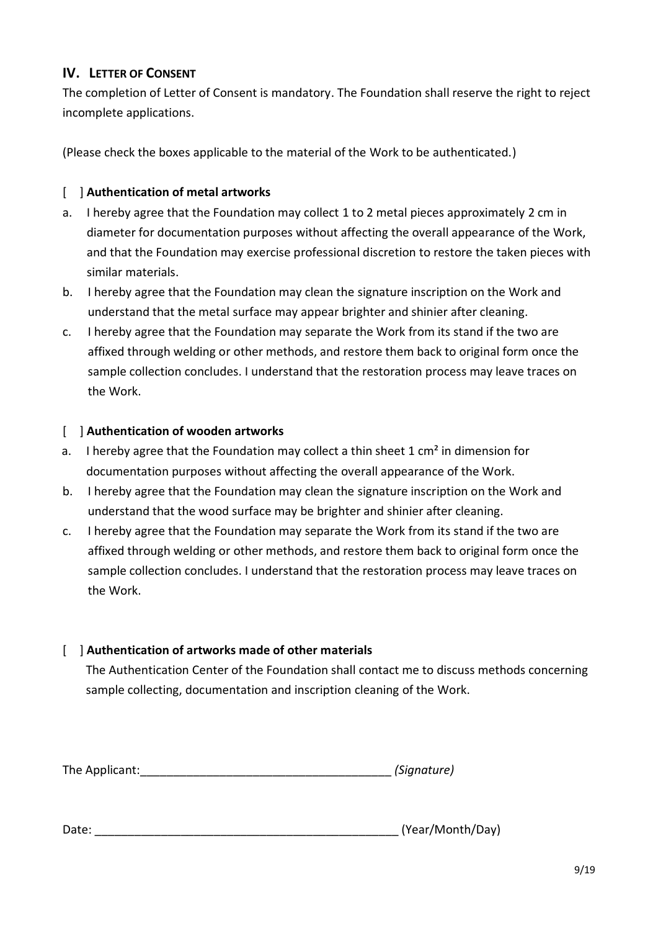## **IV.** LETTER OF CONSENT

The completion of Letter of Consent is mandatory. The Foundation shall reserve the right to reject incomplete applications.

(Please check the boxes applicable to the material of the Work to be authenticated.)

### [ ] **Authentication of metal artworks**

- a. I hereby agree that the Foundation may collect 1 to 2 metal pieces approximately 2 cm in diameter for documentation purposes without affecting the overall appearance of the Work, and that the Foundation may exercise professional discretion to restore the taken pieces with similar materials.
- b. I hereby agree that the Foundation may clean the signature inscription on the Work and understand that the metal surface may appear brighter and shinier after cleaning.
- c. I hereby agree that the Foundation may separate the Work from its stand if the two are affixed through welding or other methods, and restore them back to original form once the sample collection concludes. I understand that the restoration process may leave traces on the Work.

### [ ] **Authentication of wooden artworks**

- a. I hereby agree that the Foundation may collect a thin sheet  $1 \text{ cm}^2$  in dimension for documentation purposes without affecting the overall appearance of the Work.
- b. I hereby agree that the Foundation may clean the signature inscription on the Work and understand that the wood surface may be brighter and shinier after cleaning.
- c. I hereby agree that the Foundation may separate the Work from its stand if the two are affixed through welding or other methods, and restore them back to original form once the sample collection concludes. I understand that the restoration process may leave traces on the Work.

## [ ] **Authentication of artworks made of other materials**

The Authentication Center of the Foundation shall contact me to discuss methods concerning sample collecting, documentation and inscription cleaning of the Work.

| The Applicant: | (Signature) |
|----------------|-------------|
|----------------|-------------|

Date: \_\_\_\_\_\_\_\_\_\_\_\_\_\_\_\_\_\_\_\_\_\_\_\_\_\_\_\_\_\_\_\_\_\_\_\_\_\_\_\_\_\_\_\_\_\_ (Year/Month/Day)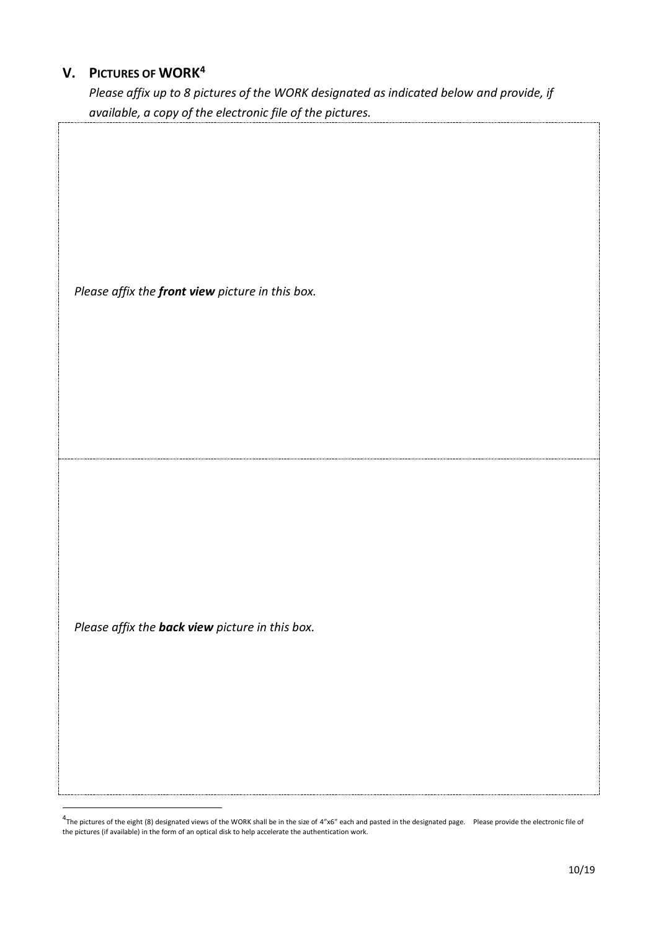# **V. PICTURES OF WORK<sup>4</sup>**

*Please affix up to 8 pictures of the WORK designated as indicated below and provide, if available, a copy of the electronic file of the pictures.*

*Please affix the back view picture in this box.*

<u>.</u>

 $4$ The pictures of the eight (8) designated views of the WORK shall be in the size of 4"x6" each and pasted in the designated page. Please provide the electronic file of the pictures (if available) in the form of an optical disk to help accelerate the authentication work.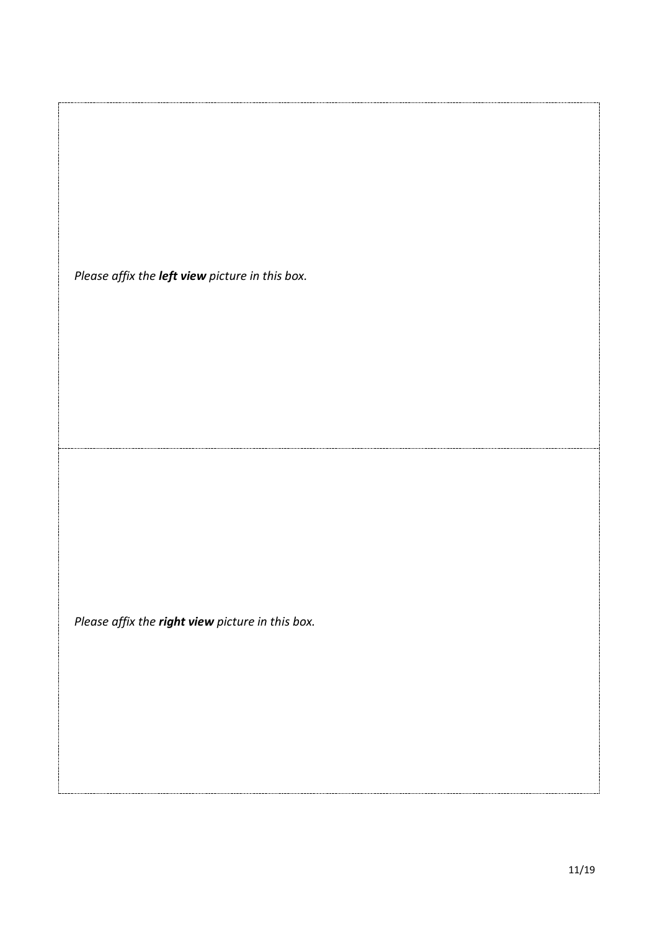*Please affix the left view picture in this box.*

*Please affix the right view picture in this box.*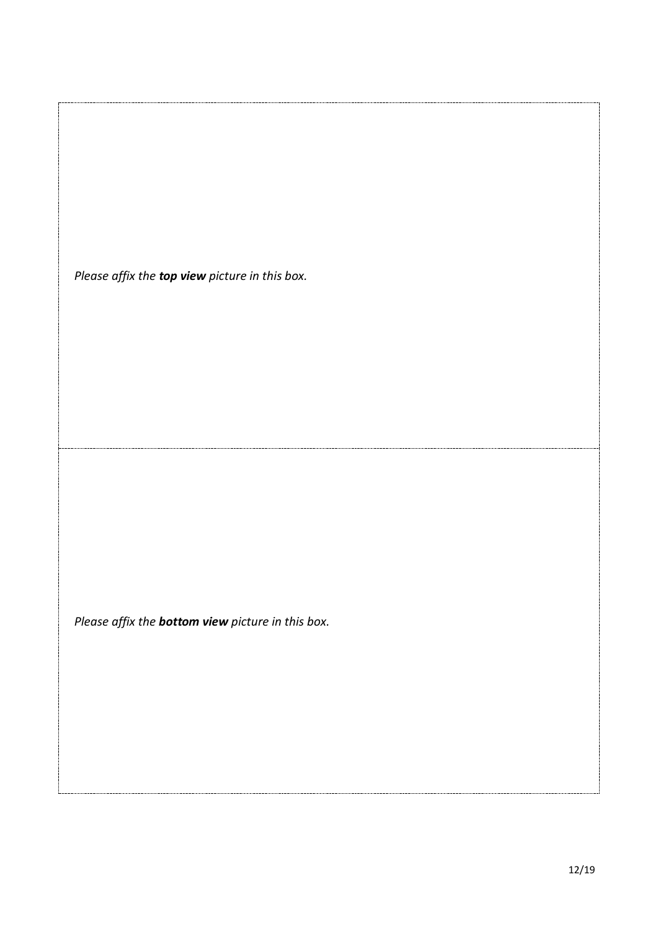*Please affix the top view picture in this box.*

*Please affix the bottom view picture in this box.*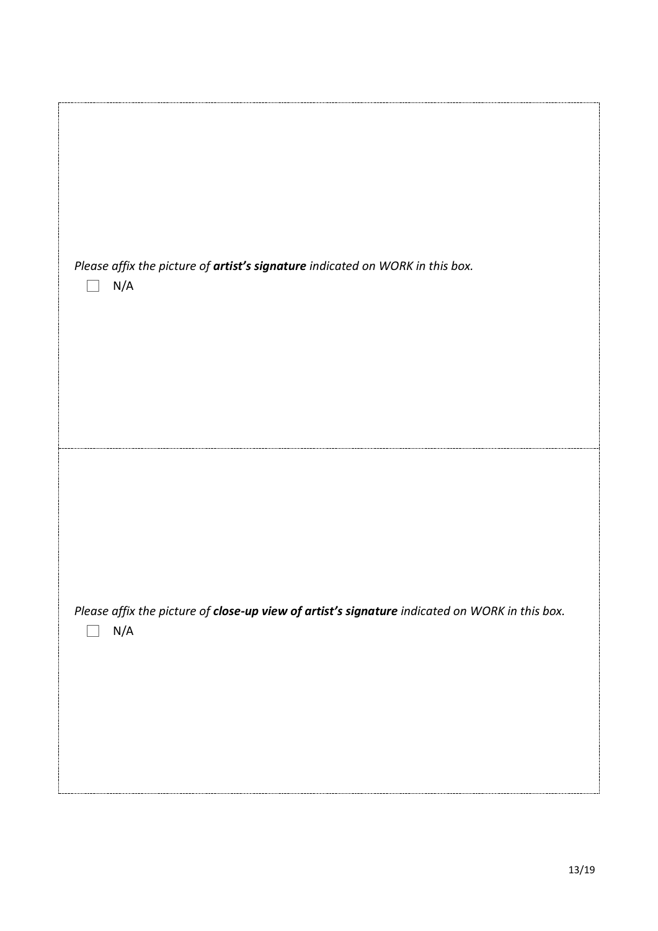| Please affix the picture of artist's signature indicated on WORK in this box.<br>N/A                  |  |
|-------------------------------------------------------------------------------------------------------|--|
| Please affix the picture of close-up view of artist's signature indicated on WORK in this box.<br>N/A |  |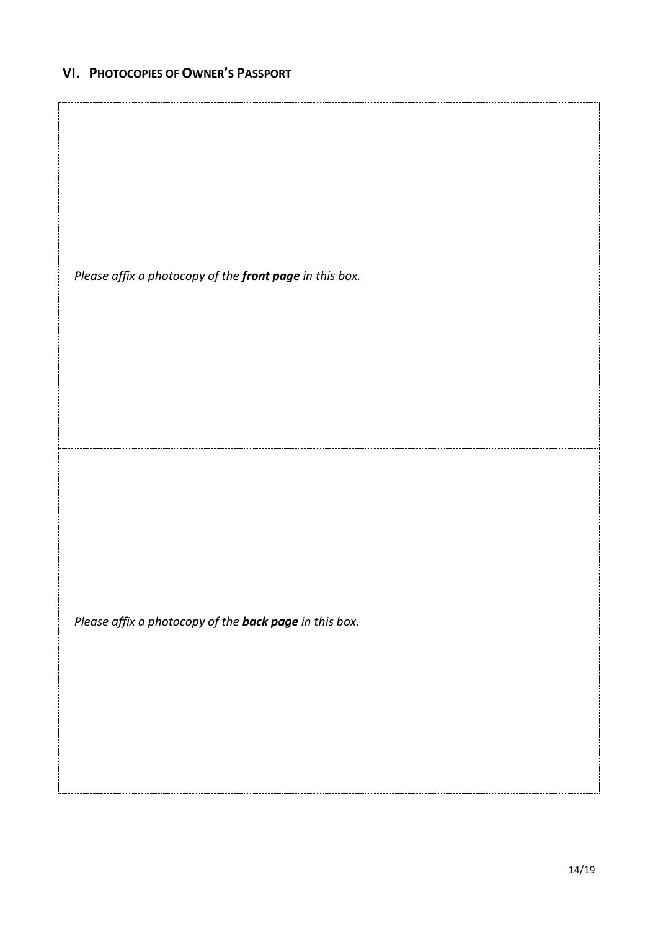## **VI. PHOTOCOPIES OF OWNER'S PASSPORT**

*Please affix a photocopy of the front page in this box.*

*Please affix a photocopy of the back page in this box.*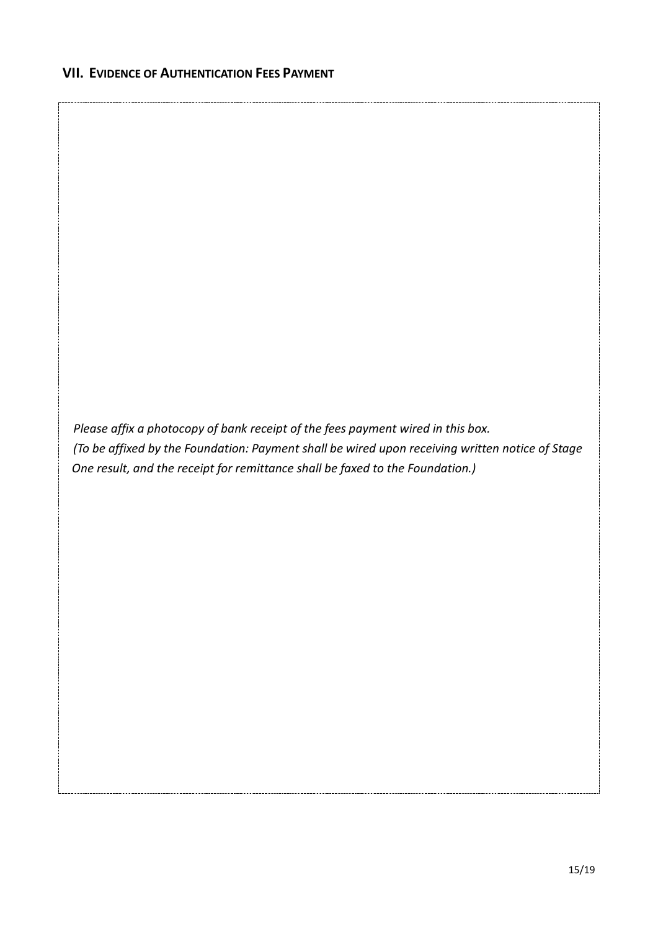*Please affix a photocopy of bank receipt of the fees payment wired in this box. (To be affixed by the Foundation: Payment shall be wired upon receiving written notice of Stage One result, and the receipt for remittance shall be faxed to the Foundation.)*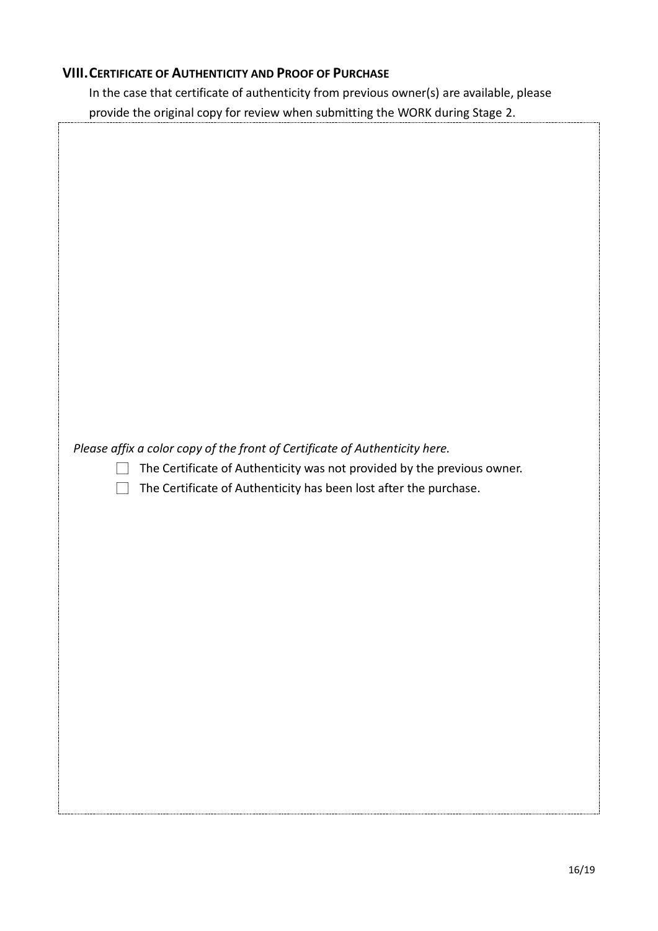### **VIII.CERTIFICATE OF AUTHENTICITY AND PROOF OF PURCHASE**

In the case that certificate of authenticity from previous owner(s) are available, please provide the original copy for review when submitting the WORK during Stage 2.

| Please affix a color copy of the front of Certificate of Authenticity here.<br>The Certificate of Authenticity was not provided by the previous owner.<br>The Certificate of Authenticity has been lost after the purchase. |
|-----------------------------------------------------------------------------------------------------------------------------------------------------------------------------------------------------------------------------|
|                                                                                                                                                                                                                             |
|                                                                                                                                                                                                                             |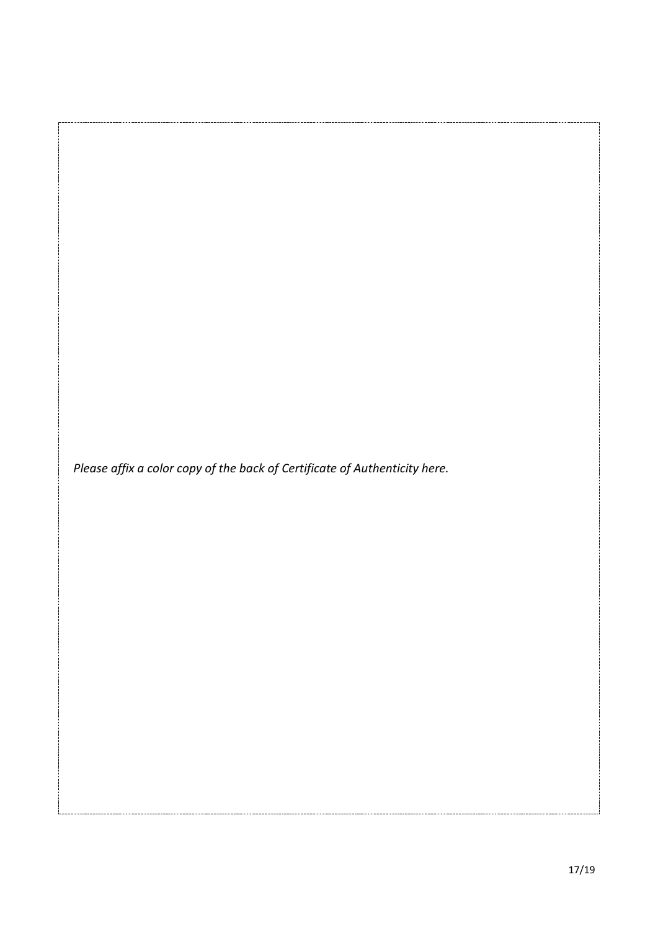*Please affix a color copy of the back of Certificate of Authenticity here.*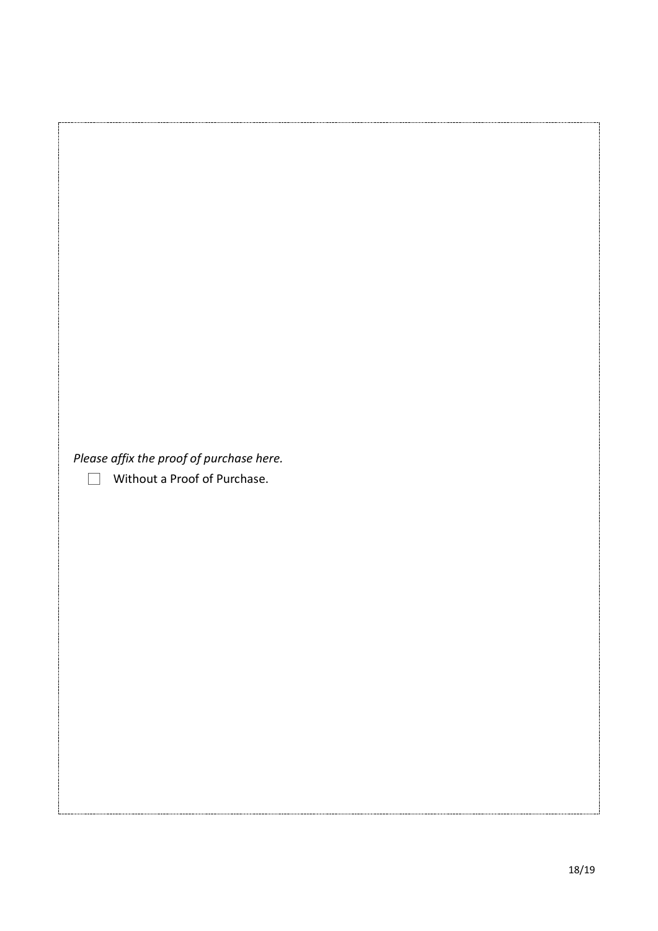| Please affix the proof of purchase here.      |  |
|-----------------------------------------------|--|
|                                               |  |
|                                               |  |
|                                               |  |
| Without a Proof of Purchase.<br>$\mathcal{L}$ |  |
|                                               |  |
|                                               |  |
|                                               |  |
|                                               |  |
|                                               |  |
|                                               |  |
|                                               |  |
|                                               |  |
|                                               |  |
|                                               |  |
|                                               |  |
|                                               |  |
|                                               |  |
|                                               |  |
|                                               |  |
|                                               |  |
|                                               |  |
|                                               |  |
|                                               |  |
|                                               |  |
|                                               |  |
|                                               |  |
|                                               |  |
|                                               |  |
|                                               |  |
|                                               |  |
|                                               |  |
|                                               |  |
|                                               |  |
|                                               |  |
|                                               |  |
|                                               |  |
|                                               |  |
|                                               |  |
|                                               |  |
|                                               |  |